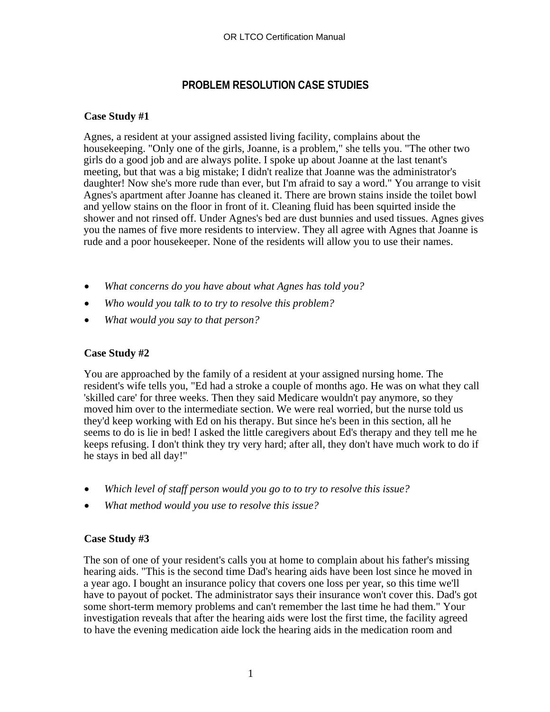## **PROBLEM RESOLUTION CASE STUDIES**

## **Case Study #1**

Agnes, a resident at your assigned assisted living facility, complains about the housekeeping. "Only one of the girls, Joanne, is a problem," she tells you. "The other two girls do a good job and are always polite. I spoke up about Joanne at the last tenant's meeting, but that was a big mistake; I didn't realize that Joanne was the administrator's daughter! Now she's more rude than ever, but I'm afraid to say a word." You arrange to visit Agnes's apartment after Joanne has cleaned it. There are brown stains inside the toilet bowl and yellow stains on the floor in front of it. Cleaning fluid has been squirted inside the shower and not rinsed off. Under Agnes's bed are dust bunnies and used tissues. Agnes gives you the names of five more residents to interview. They all agree with Agnes that Joanne is rude and a poor housekeeper. None of the residents will allow you to use their names.

- *What concerns do you have about what Agnes has told you?*
- *Who would you talk to to try to resolve this problem?*
- *What would you say to that person?*

## **Case Study #2**

You are approached by the family of a resident at your assigned nursing home. The resident's wife tells you, "Ed had a stroke a couple of months ago. He was on what they call 'skilled care' for three weeks. Then they said Medicare wouldn't pay anymore, so they moved him over to the intermediate section. We were real worried, but the nurse told us they'd keep working with Ed on his therapy. But since he's been in this section, all he seems to do is lie in bed! I asked the little caregivers about Ed's therapy and they tell me he keeps refusing. I don't think they try very hard; after all, they don't have much work to do if he stays in bed all day!"

- *Which level of staff person would you go to to try to resolve this issue?*
- *What method would you use to resolve this issue?*

## **Case Study #3**

The son of one of your resident's calls you at home to complain about his father's missing hearing aids. "This is the second time Dad's hearing aids have been lost since he moved in a year ago. I bought an insurance policy that covers one loss per year, so this time we'll have to payout of pocket. The administrator says their insurance won't cover this. Dad's got some short-term memory problems and can't remember the last time he had them." Your investigation reveals that after the hearing aids were lost the first time, the facility agreed to have the evening medication aide lock the hearing aids in the medication room and